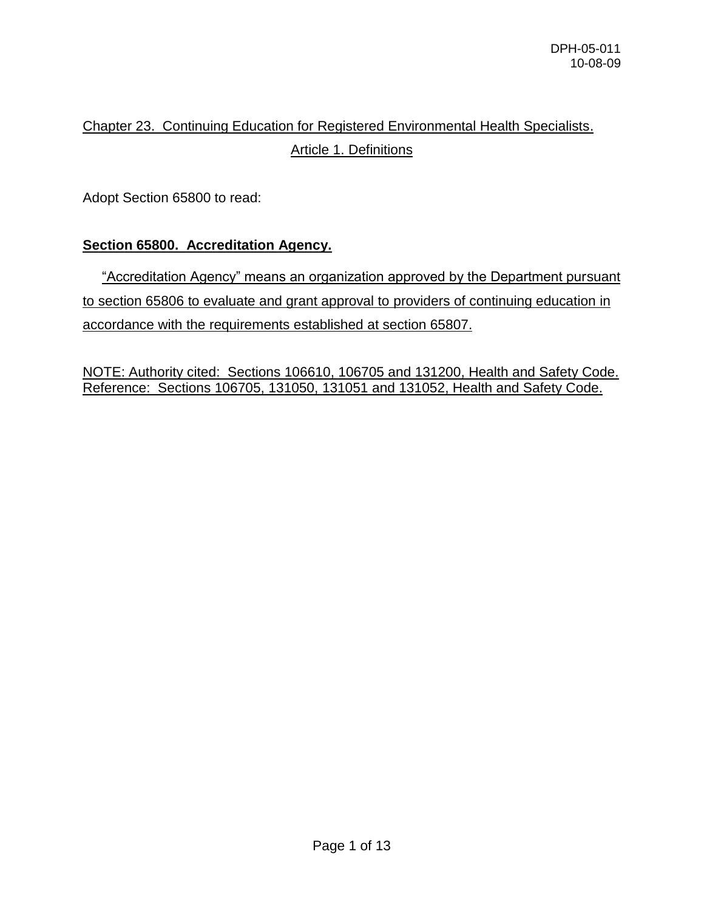# Chapter 23. Continuing Education for Registered Environmental Health Specialists. Article 1. Definitions

Adopt Section 65800 to read:

## **Section 65800. Accreditation Agency.**

 "Accreditation Agency" means an organization approved by the Department pursuant to section 65806 to evaluate and grant approval to providers of continuing education in accordance with the requirements established at section 65807.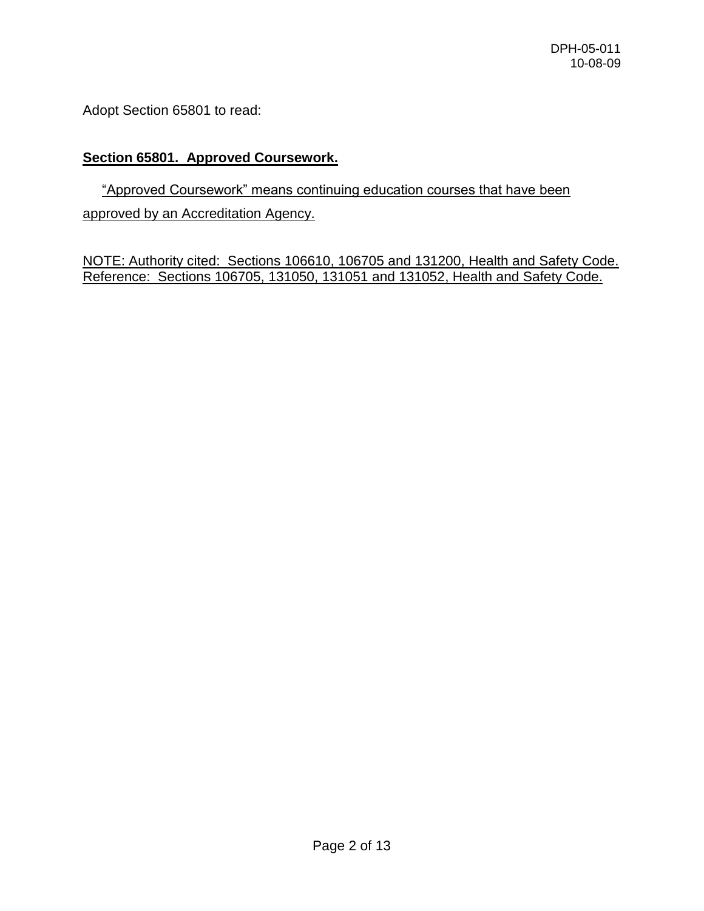Adopt Section 65801 to read:

## **Section 65801. Approved Coursework.**

 "Approved Coursework" means continuing education courses that have been approved by an Accreditation Agency.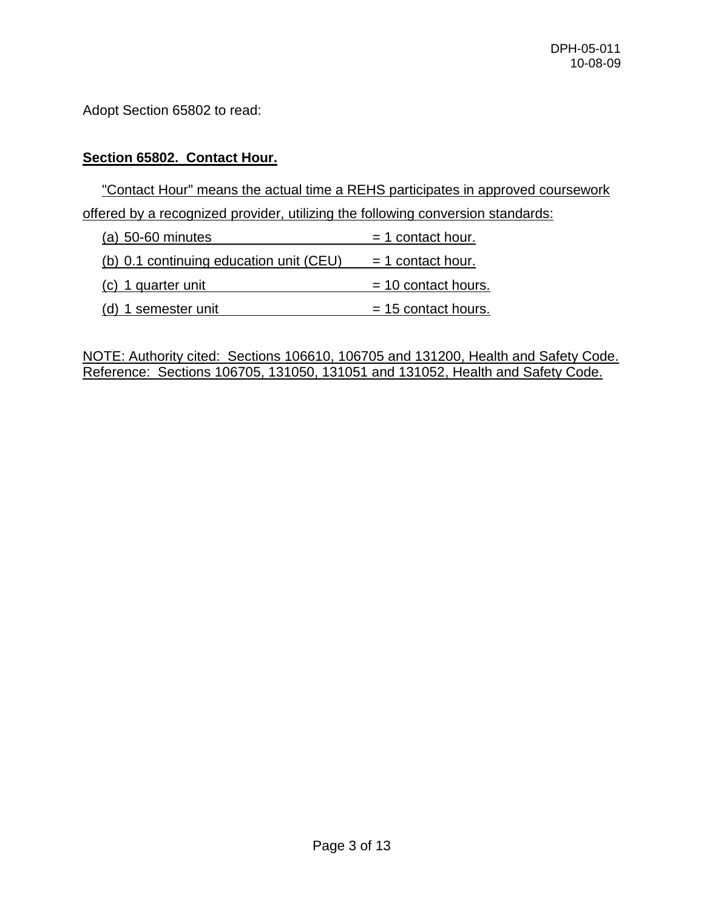Adopt Section 65802 to read:

#### **Section 65802. Contact Hour.**

 "Contact Hour" means the actual time a REHS participates in approved coursework offered by a recognized provider, utilizing the following conversion standards:

| $(a)$ 50-60 minutes                     | $=$ 1 contact hour.   |
|-----------------------------------------|-----------------------|
| (b) 0.1 continuing education unit (CEU) | $=$ 1 contact hour.   |
| (c) 1 quarter unit                      | $= 10$ contact hours. |
| (d) 1 semester unit                     | $= 15$ contact hours. |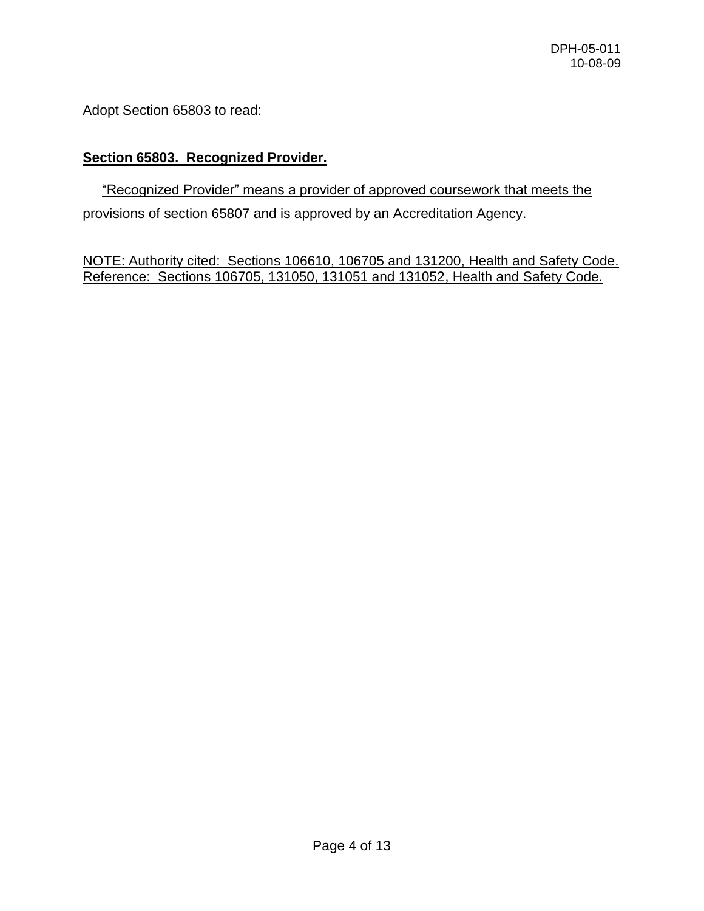Adopt Section 65803 to read:

## **Section 65803. Recognized Provider.**

# "Recognized Provider" means a provider of approved coursework that meets the provisions of section 65807 and is approved by an Accreditation Agency.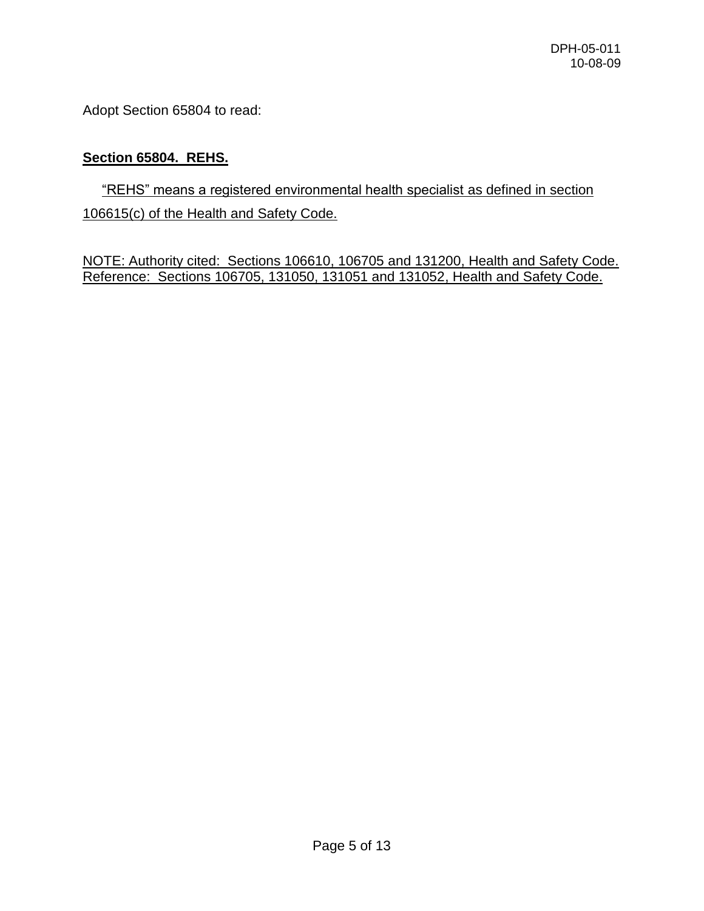Adopt Section 65804 to read:

## **Section 65804. REHS.**

 "REHS" means a registered environmental health specialist as defined in section 106615(c) of the Health and Safety Code.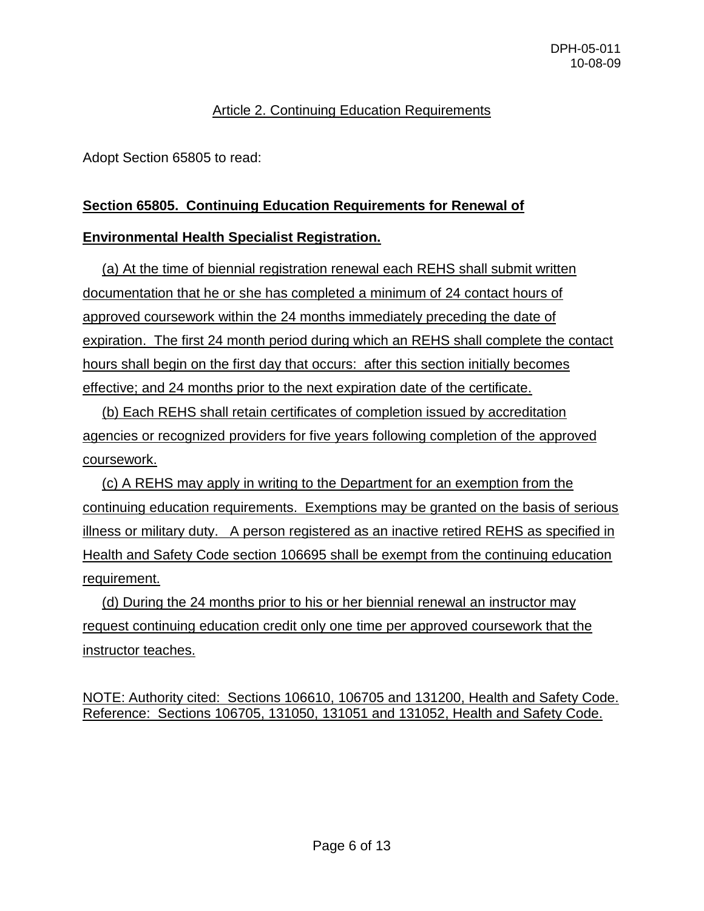## Article 2. Continuing Education Requirements

Adopt Section 65805 to read:

## **Section 65805. Continuing Education Requirements for Renewal of**

#### **Environmental Health Specialist Registration.**

 (a) At the time of biennial registration renewal each REHS shall submit written documentation that he or she has completed a minimum of 24 contact hours of approved coursework within the 24 months immediately preceding the date of expiration. The first 24 month period during which an REHS shall complete the contact hours shall begin on the first day that occurs: after this section initially becomes effective; and 24 months prior to the next expiration date of the certificate.

 (b) Each REHS shall retain certificates of completion issued by accreditation agencies or recognized providers for five years following completion of the approved coursework.

 (c) A REHS may apply in writing to the Department for an exemption from the continuing education requirements. Exemptions may be granted on the basis of serious illness or military duty. A person registered as an inactive retired REHS as specified in Health and Safety Code section 106695 shall be exempt from the continuing education requirement.

 (d) During the 24 months prior to his or her biennial renewal an instructor may request continuing education credit only one time per approved coursework that the instructor teaches.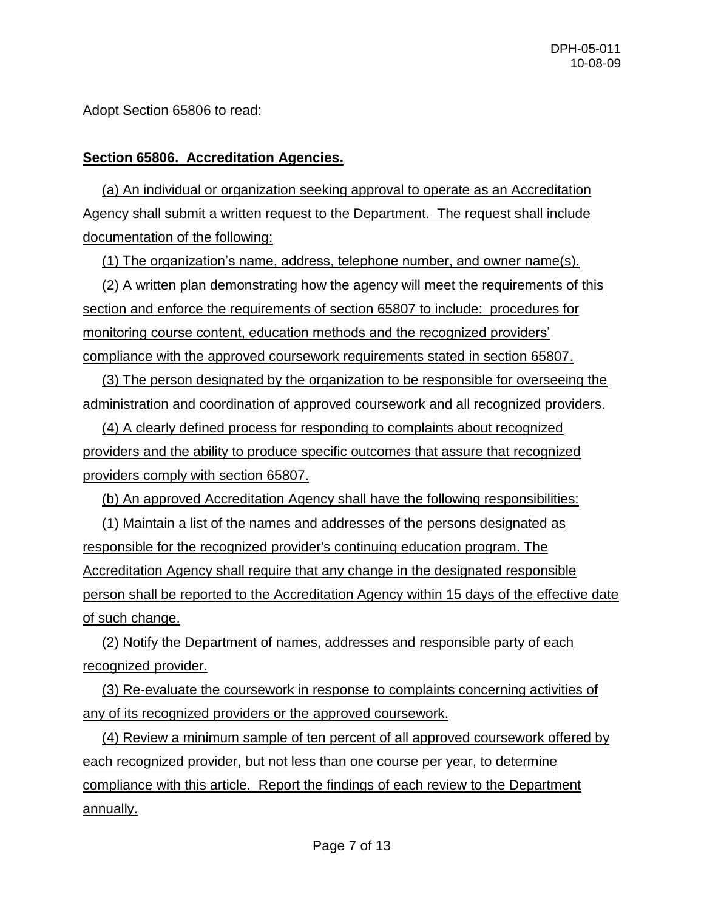Adopt Section 65806 to read:

## **Section 65806. Accreditation Agencies.**

 (a) An individual or organization seeking approval to operate as an Accreditation Agency shall submit a written request to the Department. The request shall include documentation of the following:

(1) The organization's name, address, telephone number, and owner name(s).

 (2) A written plan demonstrating how the agency will meet the requirements of this section and enforce the requirements of section 65807 to include: procedures for monitoring course content, education methods and the recognized providers' compliance with the approved coursework requirements stated in section 65807.

 (3) The person designated by the organization to be responsible for overseeing the administration and coordination of approved coursework and all recognized providers.

 (4) A clearly defined process for responding to complaints about recognized providers and the ability to produce specific outcomes that assure that recognized providers comply with section 65807.

(b) An approved Accreditation Agency shall have the following responsibilities:

 (1) Maintain a list of the names and addresses of the persons designated as responsible for the recognized provider's continuing education program. The Accreditation Agency shall require that any change in the designated responsible person shall be reported to the Accreditation Agency within 15 days of the effective date of such change.

 (2) Notify the Department of names, addresses and responsible party of each recognized provider.

 (3) Re-evaluate the coursework in response to complaints concerning activities of any of its recognized providers or the approved coursework.

 (4) Review a minimum sample of ten percent of all approved coursework offered by each recognized provider, but not less than one course per year, to determine compliance with this article. Report the findings of each review to the Department annually.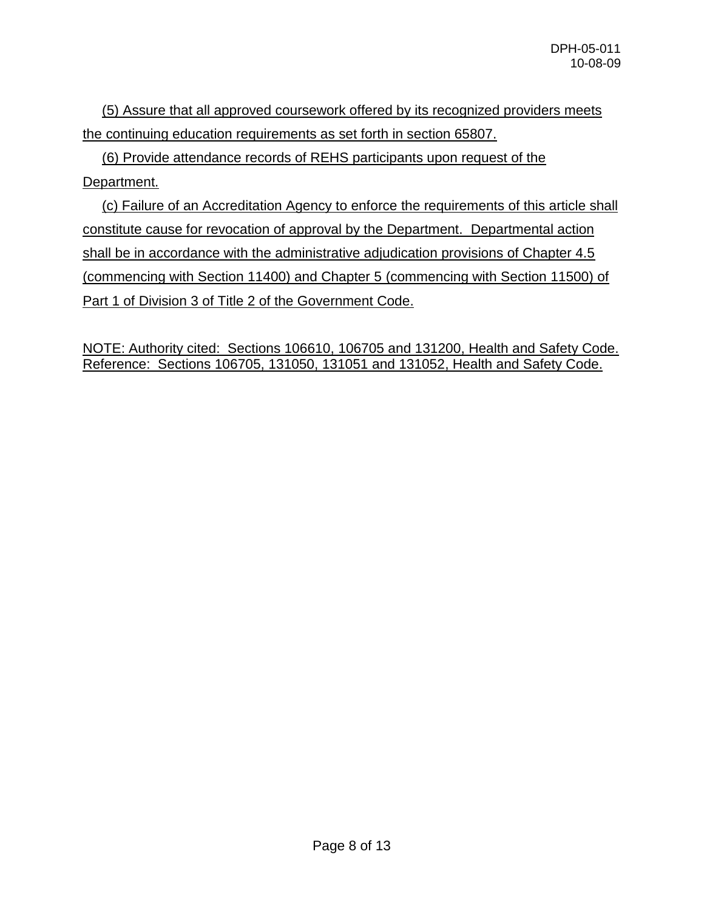(5) Assure that all approved coursework offered by its recognized providers meets the continuing education requirements as set forth in section 65807.

 (6) Provide attendance records of REHS participants upon request of the Department.

 (c) Failure of an Accreditation Agency to enforce the requirements of this article shall constitute cause for revocation of approval by the Department. Departmental action shall be in accordance with the administrative adjudication provisions of Chapter 4.5 (commencing with Section 11400) and Chapter 5 (commencing with Section 11500) of Part 1 of Division 3 of Title 2 of the Government Code.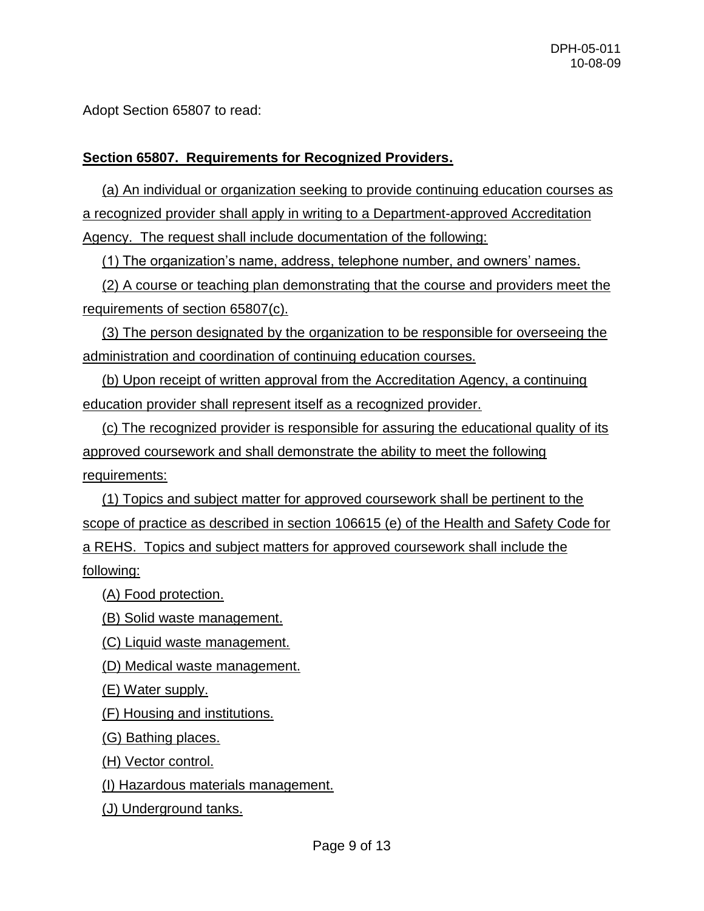Adopt Section 65807 to read:

## **Section 65807. Requirements for Recognized Providers.**

 (a) An individual or organization seeking to provide continuing education courses as a recognized provider shall apply in writing to a Department-approved Accreditation Agency. The request shall include documentation of the following:

(1) The organization's name, address, telephone number, and owners' names.

 (2) A course or teaching plan demonstrating that the course and providers meet the requirements of section 65807(c).

 (3) The person designated by the organization to be responsible for overseeing the administration and coordination of continuing education courses.

 (b) Upon receipt of written approval from the Accreditation Agency, a continuing education provider shall represent itself as a recognized provider.

 (c) The recognized provider is responsible for assuring the educational quality of its approved coursework and shall demonstrate the ability to meet the following requirements:

 (1) Topics and subject matter for approved coursework shall be pertinent to the scope of practice as described in section 106615 (e) of the Health and Safety Code for a REHS. Topics and subject matters for approved coursework shall include the following:

(A) Food protection.

(B) Solid waste management.

(C) Liquid waste management.

(D) Medical waste management.

(E) Water supply.

(F) Housing and institutions.

(G) Bathing places.

(H) Vector control.

(I) Hazardous materials management.

(J) Underground tanks.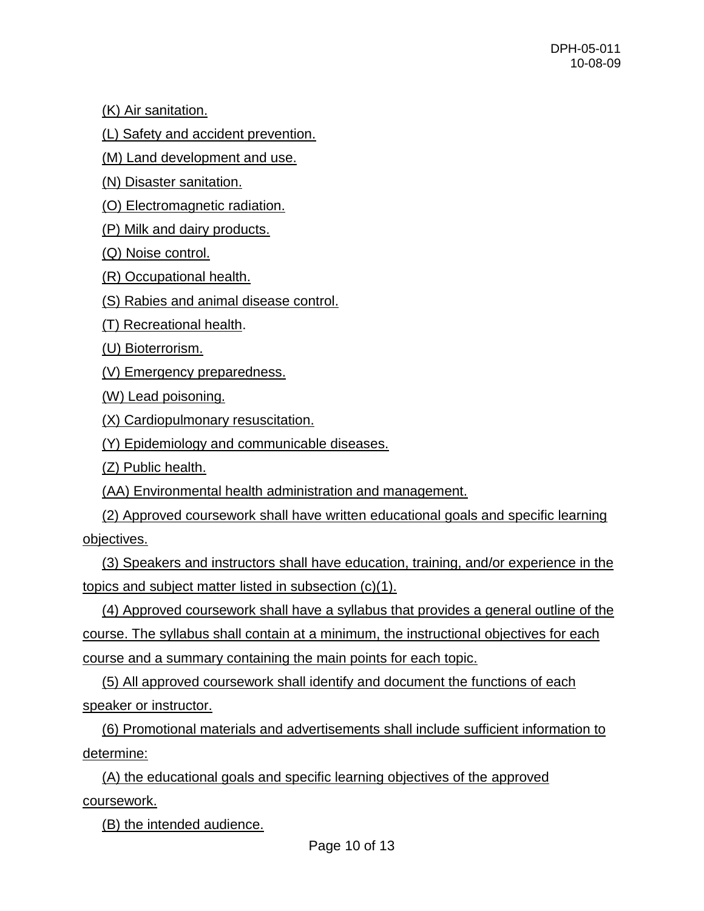(K) Air sanitation.

(L) Safety and accident prevention.

(M) Land development and use.

(N) Disaster sanitation.

(O) Electromagnetic radiation.

(P) Milk and dairy products.

(Q) Noise control.

(R) Occupational health.

(S) Rabies and animal disease control.

(T) Recreational health.

(U) Bioterrorism.

(V) Emergency preparedness.

(W) Lead poisoning.

(X) Cardiopulmonary resuscitation.

(Y) Epidemiology and communicable diseases.

(Z) Public health.

(AA) Environmental health administration and management.

 (2) Approved coursework shall have written educational goals and specific learning objectives.

 (3) Speakers and instructors shall have education, training, and/or experience in the topics and subject matter listed in subsection (c)(1).

 (4) Approved coursework shall have a syllabus that provides a general outline of the course. The syllabus shall contain at a minimum, the instructional objectives for each course and a summary containing the main points for each topic.

 (5) All approved coursework shall identify and document the functions of each speaker or instructor.

 (6) Promotional materials and advertisements shall include sufficient information to determine:

 (A) the educational goals and specific learning objectives of the approved coursework.

(B) the intended audience.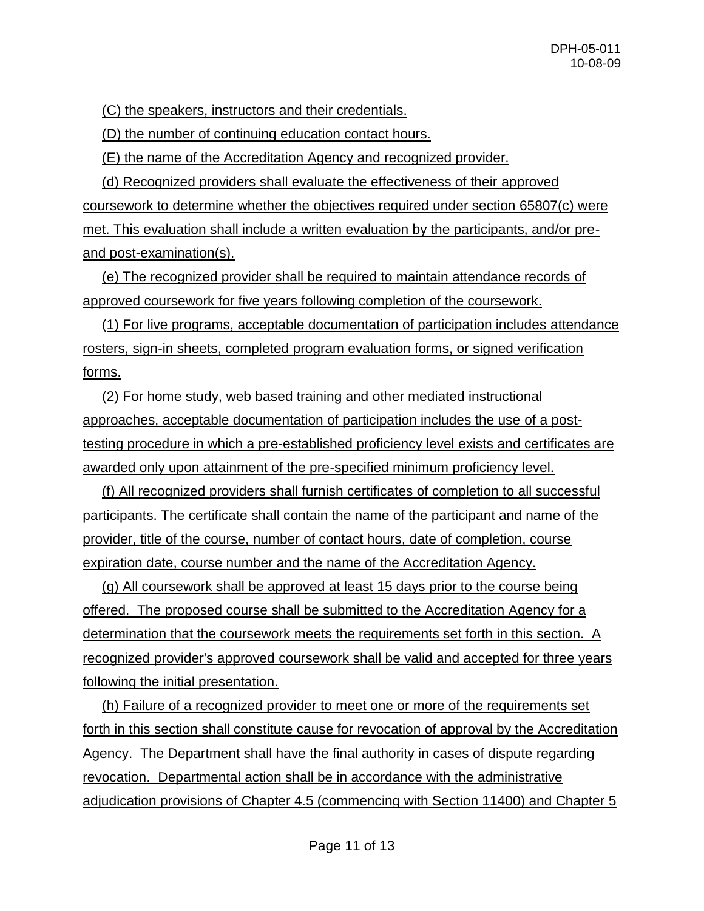(C) the speakers, instructors and their credentials.

(D) the number of continuing education contact hours.

(E) the name of the Accreditation Agency and recognized provider.

 (d) Recognized providers shall evaluate the effectiveness of their approved coursework to determine whether the objectives required under section 65807(c) were met. This evaluation shall include a written evaluation by the participants, and/or preand post-examination(s).

 (e) The recognized provider shall be required to maintain attendance records of approved coursework for five years following completion of the coursework.

 (1) For live programs, acceptable documentation of participation includes attendance rosters, sign-in sheets, completed program evaluation forms, or signed verification forms.

 (2) For home study, web based training and other mediated instructional approaches, acceptable documentation of participation includes the use of a posttesting procedure in which a pre-established proficiency level exists and certificates are awarded only upon attainment of the pre-specified minimum proficiency level.

 (f) All recognized providers shall furnish certificates of completion to all successful participants. The certificate shall contain the name of the participant and name of the provider, title of the course, number of contact hours, date of completion, course expiration date, course number and the name of the Accreditation Agency.

 (g) All coursework shall be approved at least 15 days prior to the course being offered. The proposed course shall be submitted to the Accreditation Agency for a determination that the coursework meets the requirements set forth in this section. A recognized provider's approved coursework shall be valid and accepted for three years following the initial presentation.

 (h) Failure of a recognized provider to meet one or more of the requirements set forth in this section shall constitute cause for revocation of approval by the Accreditation Agency. The Department shall have the final authority in cases of dispute regarding revocation. Departmental action shall be in accordance with the administrative adjudication provisions of Chapter 4.5 (commencing with Section 11400) and Chapter 5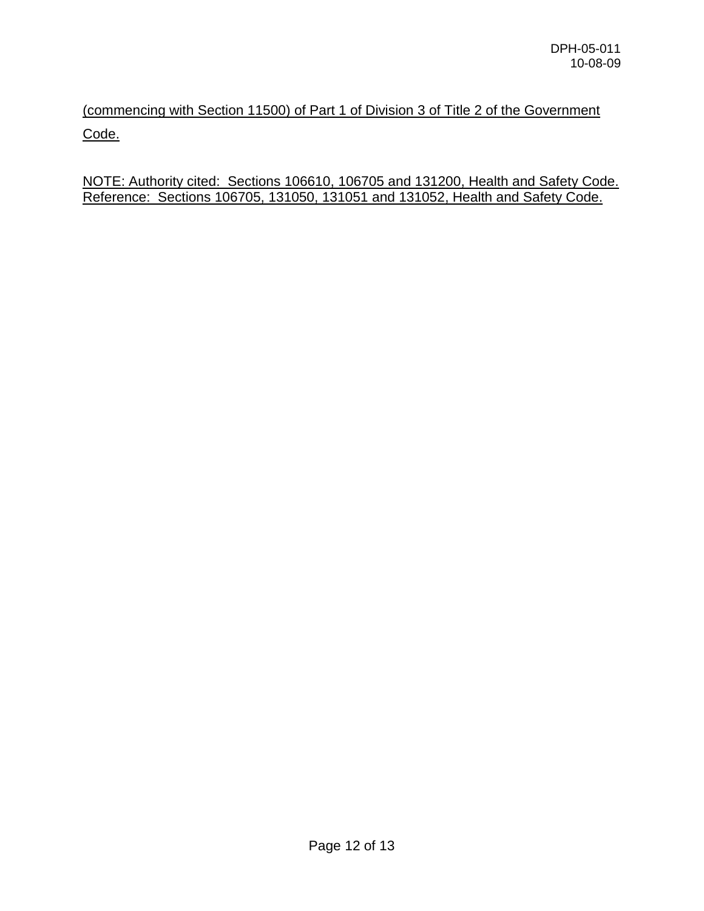(commencing with Section 11500) of Part 1 of Division 3 of Title 2 of the Government Code.